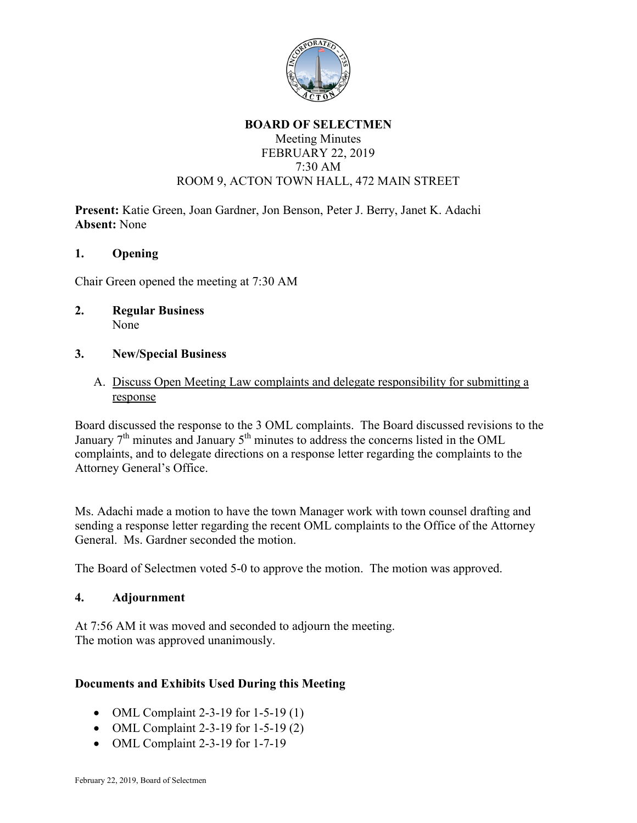

## **BOARD OF SELECTMEN** Meeting Minutes FEBRUARY 22, 2019 7:30 AM ROOM 9, ACTON TOWN HALL, 472 MAIN STREET

**Present:** Katie Green, Joan Gardner, Jon Benson, Peter J. Berry, Janet K. Adachi **Absent:** None

### **1. Opening**

Chair Green opened the meeting at 7:30 AM

**2. Regular Business** None

## **3. New/Special Business**

A. Discuss Open Meeting Law complaints and delegate responsibility for submitting a response

Board discussed the response to the 3 OML complaints. The Board discussed revisions to the January  $7<sup>th</sup>$  minutes and January  $5<sup>th</sup>$  minutes to address the concerns listed in the OML complaints, and to delegate directions on a response letter regarding the complaints to the Attorney General's Office.

Ms. Adachi made a motion to have the town Manager work with town counsel drafting and sending a response letter regarding the recent OML complaints to the Office of the Attorney General. Ms. Gardner seconded the motion.

The Board of Selectmen voted 5-0 to approve the motion. The motion was approved.

### **4. Adjournment**

At 7:56 AM it was moved and seconded to adjourn the meeting. The motion was approved unanimously.

# **Documents and Exhibits Used During this Meeting**

- OML Complaint 2-3-19 for 1-5-19 (1)
- OML Complaint 2-3-19 for 1-5-19 (2)
- OML Complaint 2-3-19 for 1-7-19